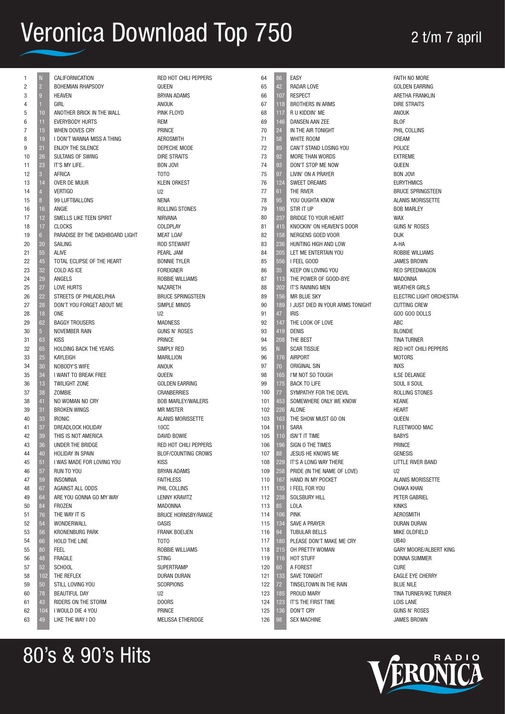| 1              | N              | CALIFORNICATION                 | RED HOT CHILI PEPPERS         | 64  | 86  | <b>EASY</b>                      | FAITH NO MORE            |
|----------------|----------------|---------------------------------|-------------------------------|-----|-----|----------------------------------|--------------------------|
| $\overline{c}$ | $\overline{2}$ | <b>BOHEMIAN RHAPSODY</b>        | QUEEN                         | 65  | 42  | <b>RADAR LOVE</b>                | <b>GOLDEN EARRING</b>    |
| 3              | 9              | <b>HEAVEN</b>                   | <b>BRYAN ADAMS</b>            | 66  | 107 | <b>RESPECT</b>                   | ARETHA FRANKLIN          |
| 4              |                | GIRL                            | ANOUK                         | 67  | 118 | <b>BROTHERS IN ARMS</b>          | <b>DIRE STRAITS</b>      |
| 5              | 10             | ANOTHER BRICK IN THE WALL       | PINK FLOYD                    | 68  | 117 | R U KIDDIN' ME                   | ANOUK                    |
| 6              | 11             | <b>EVERYBODY HURTS</b>          | REM                           | 69  | 146 | <b>DANSEN AAN ZEE</b>            | <b>BLOF</b>              |
| $\overline{7}$ | 15             | WHEN DOVES CRY                  | <b>PRINCE</b>                 | 70  | 24  | IN THE AIR TONIGHT               | PHIL COLLINS             |
| 8              | 19             | I DON'T WANNA MISS A THING      | <b>AEROSMITH</b>              | 71  | 58  | WHITE ROOM                       | CREAM                    |
| 9              | 21             | <b>ENJOY THE SILENCE</b>        | DEPECHE MODE                  | 72  | 89  | CAN'T STAND LOSING YOU           | POLICE                   |
| 10             | 26             | SULTANS OF SWING                | <b>DIRE STRAITS</b>           | 73  | 92  | <b>MORE THAN WORDS</b>           | <b>EXTREME</b>           |
|                |                | IT'S MY LIFE                    |                               | 74  |     | DON'T STOP ME NOW                |                          |
| 11             | 23             |                                 | <b>BON JOVI</b>               |     | 93  |                                  | QUEEN                    |
| 12             | $\mathbf{3}$   | <b>AFRICA</b>                   | T0T0                          | 75  | 97  | LIVIN' ON A PRAYER               | <b>BON JOVI</b>          |
| 13             | 14             | OVER DE MUUR                    | <b>KLEIN ORKEST</b>           | 76  | 124 | <b>SWEET DREAMS</b>              | <b>EURYTHMICS</b>        |
| 14             | $\overline{A}$ | <b>VERTIGO</b>                  | U <sub>2</sub>                | 77  | 61  | THE RIVER                        | <b>BRUCE SPRINGSTEEN</b> |
| 15             | 8              | 99 LUFTBALLONS                  | <b>NENA</b>                   | 78  | 95  | YOU OUGHTA KNOW                  | <b>ALANIS MORISSETTE</b> |
| 16             | 16             | ANGIE                           | ROLLING STONES                | 79  | 190 | STIR IT UP                       | <b>BOB MARLEY</b>        |
| 17             | 12             | SMELLS LIKE TEEN SPIRIT         | <b>NIRVANA</b>                | 80  | 237 | BRIDGE TO YOUR HEART             | <b>WAX</b>               |
| 18             | 17             | <b>CLOCKS</b>                   | COLDPLAY                      | 81  | 415 | KNOCKIN' ON HEAVEN'S DOOR        | <b>GUNS N' ROSES</b>     |
| 19             | 6 <sup>5</sup> | PARADISE BY THE DASHBOARD LIGHT | <b>MEAT LOAF</b>              | 82  | 158 | NERGENS GOED VOOR                | <b>DIJK</b>              |
| 20             | 20             | SAILING                         | <b>ROD STEWART</b>            | 83  | 236 | HUNTING HIGH AND LOW             | A-HA                     |
| 21             | 55             | <b>ALIVE</b>                    | PEARL JAM                     | 84  | 205 | LET ME ENTERTAIN YOU             | <b>ROBBIE WILLIAMS</b>   |
| 22             | 45             | TOTAL ECLIPSE OF THE HEART      | <b>BONNIE TYLER</b>           | 85  | 556 | I FEEL GOOD                      | <b>JAMES BROWN</b>       |
| 23             | 32             | COLD AS ICE                     | <b>FOREIGNER</b>              | 86  | 35  | KEEP ON LOVING YOU               | REO SPEEDWAGON           |
| 24             | 29             | ANGELS                          | <b>ROBBIE WILLIAMS</b>        | 87  | 113 | THE POWER OF GOOD-BYE            | MADONNA                  |
| 25             | 27             | <b>LOVE HURTS</b>               | <b>NAZARETH</b>               | 88  | 202 | IT'S RAINING MEN                 | <b>WEATHER GIRLS</b>     |
| 26             | 22             | STREETS OF PHILADELPHIA         | <b>BRUCE SPRINGSTEEN</b>      | 89  | 156 | <b>MR BLUE SKY</b>               | ELECTRIC LIGHT ORCHESTRA |
|                |                |                                 | <b>SIMPLE MINDS</b>           | 90  |     | I JUST DIED IN YOUR ARMS TONIGHT | <b>CUTTING CREW</b>      |
| 27             | 28             | DON'T YOU FORGET ABOUT ME       |                               |     | 189 |                                  |                          |
| 28             | 18             | <b>ONE</b>                      | U <sub>2</sub>                | 91  | 47  | <b>IRIS</b>                      | GOO GOO DOLLS            |
| 29             | 62             | <b>BAGGY TROUSERS</b>           | <b>MADNESS</b>                | 92  | 147 | THE LOOK OF LOVE                 | ABC                      |
| 30             | 5 <sup>5</sup> | NOVEMBER RAIN                   | <b>GUNS N' ROSES</b>          | 93  | 419 | <b>DENIS</b>                     | <b>BLONDIE</b>           |
| 31             | 63             | <b>KISS</b>                     | PRINCE                        | 94  | 208 | THE BEST                         | TINA TURNER              |
| 32             | 65             | <b>HOLDING BACK THE YEARS</b>   | SIMPLY RED                    | 95  | N   | <b>SCAR TISSUE</b>               | RED HOT CHILI PEPPERS    |
| 33             | 25             | KAYLEIGH                        | <b>MARILLION</b>              | 96  | 176 | <b>AIRPORT</b>                   | <b>MOTORS</b>            |
| 34             | 30             | NOBODY'S WIFE                   | ANOUK                         | 97  | 70  | ORIGINAL SIN                     | <b>INXS</b>              |
| 35             | 34             | I WANT TO BREAK FREE            | QUEEN                         | 98  | 165 | I'M NOT SO TOUGH                 | <b>ILSE DELANGE</b>      |
| 36             | 13             | <b>TWILIGHT ZONE</b>            | <b>GOLDEN EARRING</b>         | 99  | 175 | <b>BACK TO LIFE</b>              | SOUL II SOUL             |
| 37             | 38             | <b>ZOMBIE</b>                   | <b>CRANBERRIES</b>            | 100 | 77  | SYMPATHY FOR THE DEVIL           | ROLLING STONES           |
| 38             | 41             | NO WOMAN NO CRY                 | <b>BOB MARLEY/WAILERS</b>     | 101 | 453 | SOMEWHERE ONLY WE KNOW           | <b>KEANE</b>             |
| 39             | 31             | <b>BROKEN WINGS</b>             | <b>MR MISTER</b>              | 102 | 226 | <b>ALONE</b>                     | <b>HEART</b>             |
| 40             | 33             | <b>IRONIC</b>                   | <b>ALANIS MORISSETTE</b>      | 103 | 163 | THE SHOW MUST GO ON              | QUEEN                    |
| 41             | 37             | DREADLOCK HOLIDAY               | <b>10CC</b>                   | 104 | 111 | <b>SARA</b>                      | FLEETWOOD MAC            |
| 42             | 39             | THIS IS NOT AMERICA             | DAVID BOWIE                   | 105 | 110 | <b>ISN'T IT TIME</b>             | <b>BABYS</b>             |
|                | 36             |                                 | <b>RED HOT CHILI PEPPERS</b>  |     | 196 | SIGN O THE TIMES                 | <b>PRINCE</b>            |
| 43             |                | UNDER THE BRIDGE                |                               | 106 |     |                                  |                          |
| 44             | 40             | HOLIDAY IN SPAIN                | <b>BLOF/COUNTING CROWS</b>    | 107 | 88  | JESUS HE KNOWS ME                | <b>GENESIS</b>           |
| 45             | 51             | I WAS MADE FOR LOVING YOU       | <b>KISS</b>                   | 108 | 229 | IT'S A LONG WAY THERE            | LITTLE RIVER BAND        |
| 46             | 57             | RUN TO YOU                      | <b>BRYAN ADAMS</b>            | 109 | 258 | PRIDE (IN THE NAME OF LOVE)      | U <sub>2</sub>           |
| 47             | 59             | <b>INSOMNIA</b>                 | <b>FAITHLESS</b>              | 110 | 167 | HAND IN MY POCKET                | <b>ALANIS MORISSETTE</b> |
| 48             | 67             | AGAINST ALL ODDS                | PHIL COLLINS                  | 111 | 135 | I FEEL FOR YOU                   | CHAKA KHAN               |
| 49             | 64             | ARE YOU GONNA GO MY WAY         | LENNY KRAVITZ                 | 112 | 238 | SOLSBURY HILL                    | PETER GABRIEL            |
| 50             | 84             | <b>FROZEN</b>                   | MADONNA                       | 113 | 85  | LOLA                             | <b>KINKS</b>             |
| 51             | 76             | THE WAY IT IS                   | <b>BRUCE HORNSBY/RANGE</b>    | 114 | 106 | <b>PINK</b>                      | <b>AEROSMITH</b>         |
| 52             | 54             | WONDERWALL                      | <b>OASIS</b>                  | 115 | 134 | <b>SAVE A PRAYER</b>             | DURAN DURAN              |
| 53             | 56             | <b>KRONENBURG PARK</b>          | <b>FRANK BOEIJEN</b>          | 116 | 94  | <b>TUBULAR BELLS</b>             | MIKE OLDFIELD            |
| 54             | 66             | <b>HOLD THE LINE</b>            | T <sub>0</sub> T <sub>0</sub> | 117 | 180 | PLEASE DON'T MAKE ME CRY         | <b>UB40</b>              |
| 55             | 80             | <b>FEEL</b>                     | <b>ROBBIE WILLIAMS</b>        | 118 | 215 | OH PRETTY WOMAN                  | GARY MOORE/ALBERT KING   |
| 56             | 48             | <b>FRAGILE</b>                  | <b>STING</b>                  | 119 | 116 | HOT STUFF                        | <b>DONNA SUMMER</b>      |
| 57             | 52             | <b>SCHOOL</b>                   | <b>SUPERTRAMP</b>             | 120 | 60  | A FOREST                         | <b>CURE</b>              |
| 58             | 102            | THE REFLEX                      | <b>DURAN DURAN</b>            | 121 | 133 | <b>SAVE TONIGHT</b>              | <b>EAGLE EYE CHERRY</b>  |
|                |                |                                 |                               |     |     |                                  |                          |
| 59             | 50             | STILL LOVING YOU                | <b>SCORPIONS</b>              | 122 | 72  | TINSELTOWN IN THE RAIN           | <b>BLUE NILE</b>         |
| 60             | 78             | <b>BEAUTIFUL DAY</b>            | U <sub>2</sub>                | 123 | 185 | PROUD MARY                       | TINA TURNER/IKE TURNER   |
| 61             | 43             | RIDERS ON THE STORM             | DOORS                         | 124 | 123 | IT'S THE FIRST TIME              | LOIS LANE                |
| 62             | 104            | I WOULD DIE 4 YOU               | PRINCE                        | 125 | 136 | DON'T CRY                        | <b>GUNS N' ROSES</b>     |
| 63             | 49             | LIKE THE WAY I DO               | MELISSA ETHERIDGE             | 126 | 98  | <b>SEX MACHINE</b>               | <b>JAMES BROWN</b>       |
|                |                |                                 |                               |     |     |                                  |                          |

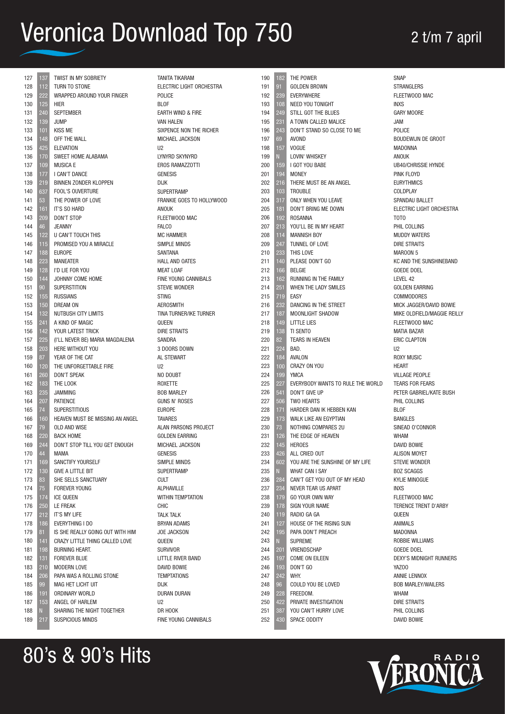| 127<br>128 | 137        | TWIST IN MY SOBRIETY<br><b>TURN TO STONE</b>    |
|------------|------------|-------------------------------------------------|
| 129        | 112<br>222 | WRAPPED AROUND YOUR FINGER                      |
| 130        | 125        | HIER                                            |
| 131        | 240        | <b>SEPTEMBER</b>                                |
| 132        | 139        | <b>JUMP</b>                                     |
| 133        | 101        | <b>KISS ME</b>                                  |
| 134        | 148        | OFF THE WALL                                    |
| 135        | 425        | ELEVATION                                       |
| 136        | 170        | SWEET HOME ALABAMA                              |
| 137        | 109        | <b>MUSICA E</b>                                 |
| 138        | 177        | I CAN'T DANCE                                   |
| 139        | 219        | BINNEN ZONDER KLOPPEN                           |
| 140        | 637        | FOOL'S OUVERTURE                                |
| 141        | 53         | THE POWER OF LOVE                               |
| 142        | 161        | IT'S SO HARD                                    |
| 143        | 209        | <b>DON'T STOP</b>                               |
| 144        | 46         | <b>JEANNY</b>                                   |
| 145        | 122        | U CAN'T TOUCH THIS                              |
| 146        | 115        | PROMISED YOU A MIRACLE                          |
| 147        | 188        | <b>EUROPE</b>                                   |
| 148        | 223        | <b>MANEATER</b>                                 |
| 149        | 128<br>144 | I'D LIE FOR YOU                                 |
| 150<br>151 |            | JOHNNY COME HOME<br><b>SUPERSTITION</b>         |
| 152        | 90<br>155  | RUSSIANS                                        |
| 153        | 150        | DREAM ON                                        |
| 154        | 132        | NUTBUSH CITY LIMITS                             |
| 155        | 241        | A KIND OF MAGIC                                 |
| 156        | 142        | YOUR LATEST TRICK                               |
| 157        | 225        | (I'LL NEVER BE) MARIA MAGDALENA                 |
| 158        | 203        | HERE WITHOUT YOU                                |
| 159        | 87         | YEAR OF THE CAT                                 |
| 160        | 120        | THE UNFORGETTABLE FIRE                          |
| 161        | 260        | DON'T SPEAK                                     |
| 162        | 183        | THE LOOK                                        |
| 163        | 235        | <b>JAMMING</b>                                  |
| 164        | 207        | PATIENCE                                        |
| 165        | 74         | <b>SUPERSTITIOUS</b>                            |
| 166        | 160        | HEAVEN MUST BE MISSING AN ANGEL                 |
| 167        | 79         | OLD AND WISE                                    |
| 168        | 220        | <b>BACK HOME</b>                                |
| 169        | 244        | DON'T STOP TILL YOU GET ENOUGH                  |
| 170        | 44         | MAMA                                            |
| 171        | 169        | SANCTIFY YOURSELF                               |
| 172<br>173 | 130<br>83  | <b>GIVE A LITTLE BIT</b><br>SHE SELLS SANCTUARY |
| 174        | 75         | <b>FOREVER YOUNG</b>                            |
| 175        | 174        | <b>ICE QUEEN</b>                                |
| 176        | 250        | <b>LE FREAK</b>                                 |
| 177        | 212        | IT'S MY LIFE                                    |
| 178        | 186        | EVERYTHING I DO                                 |
| 179        | 81         | IS SHE REALLY GOING OUT WITH HIM                |
| 180        | 141        | CRAZY LITTLE THING CALLED LOVE                  |
| 181        | 198        | <b>BURNING HEART.</b>                           |
| 182        | 131        | <b>FOREVER BLUE</b>                             |
| 183        | 210        | <b>MODERN LOVE</b>                              |
| 184        | 206        | PAPA WAS A ROLLING STONE                        |
| 185        | 99         | MAG HET LICHT UIT                               |
| 186        | 191        | ORDINARY WORLD                                  |
| 187        | 153        | ANGEL OF HARLEM                                 |
| 188        | N          | SHARING THE NIGHT TOGETHER                      |
| 189        | 217        | SUSPICIOUS MINDS                                |

80's & 90's Hits

| <b>TANITA TIKARAM</b>       |
|-----------------------------|
| ELECTRIC LIGHT ORCHESTRA    |
| POLICE                      |
|                             |
| <b>BLOF</b>                 |
| EARTH WIND & FIRE           |
| <b>VAN HALEN</b>            |
| SIXPENCE NON THE RICHER     |
| MICHAEL JACKSON             |
| U <sub>2</sub>              |
| LYNYRD SKYNYRD              |
| <b>EROS RAMAZZOTTI</b>      |
| <b>GENESIS</b>              |
| <b>DIJK</b>                 |
| <b>SUPERTRAMP</b>           |
| FRANKIE GOES TO HOLLYWOOD   |
| anouk                       |
| FLEETWOOD MAC               |
| <b>FALCO</b>                |
| <b>MC HAMMER</b>            |
|                             |
| <b>SIMPLE MINDS</b>         |
| <b>SANTANA</b>              |
| HALL AND OATES              |
| <b>MEAT LOAF</b>            |
| <b>FINE YOUNG CANNIBALS</b> |
| <b>STEVIE WONDER</b>        |
| <b>STING</b>                |
| <b>AEROSMITH</b>            |
| TINA TURNER/IKE TURNER      |
| QUEEN                       |
| <b>DIRE STRAITS</b>         |
| SANDRA                      |
| 3 DOORS DOWN                |
| AL STEWART                  |
| U <sub>2</sub>              |
| NO DOUBT                    |
| <b>ROXETTE</b>              |
| <b>BOB MARLEY</b>           |
| <b>GUNS N' ROSES</b>        |
| <b>EUROPE</b>               |
| <b>TAVARES</b>              |
| ALAN PARSONS PROJECT        |
| GOLDEN EARRING              |
| MICHAEL JACKSON             |
| <b>GENESIS</b>              |
|                             |
| SIMPLE MINDS                |
| <b>SUPERTRAMP</b>           |
| <b>CULT</b>                 |
| <b>ALPHAVILLE</b>           |
| <b>WITHIN TEMPTATION</b>    |
| CHIC                        |
| <b>TALK TALK</b>            |
| <b>BRYAN ADAMS</b>          |
| <b>JOE JACKSON</b>          |
| QUEEN                       |
| <b>SURVIVOR</b>             |
| LITTLE RIVER BAND           |
| DAVID BOWIE                 |
| <b>TEMPTATIONS</b>          |
| <b>DIJK</b>                 |
| <b>DURAN DURAN</b>          |
| U <sub>2</sub>              |
|                             |

DR HOOK

FINE YOUNG CANNIBALS

| 182              | THE POWER                         |
|------------------|-----------------------------------|
| 91               | <b>GOLDEN BROWN</b>               |
|                  | 239 EVERYWHERE                    |
| 108              | NEED YOU TONIGHT                  |
| 249              | STILL GOT THE BLUES               |
| 231              | A TOWN CALLED MALICE              |
| 243              | DON'T STAND SO CLOSE TO ME        |
| 69               | AVOND                             |
| 157              | VOGUE                             |
| Ñ.               | LOVIN' WHISKEY                    |
| 159              | I GOT YOU BABE                    |
| 194              | <b>MONEY</b>                      |
|                  | THERE MUST BE AN ANGEL            |
| 216              | <b>TROUBLE</b>                    |
| 103              |                                   |
| 317              | ONLY WHEN YOU LEAVE               |
| 181              | DON'T BRING ME DOWN               |
| 192              | ROSANNA                           |
| 213              | YOU'LL BE IN MY HEART             |
| 114              | <b>MANNISH BOY</b>                |
| 247              | TUNNEL OF LOVE                    |
| 233              | THIS LOVE                         |
| 140              | PLEASE DON'T GO                   |
| 166              | BELGIE                            |
| 162              | RUNNING IN THE FAMILY             |
| 251              | WHEN THE LADY SMILES              |
| 719              | EASY                              |
| 232              | DANCING IN THE STREET             |
| 187              | MOONLIGHT SHADOW                  |
| 149              | <b>LITTLE LIES</b>                |
| 138              | TI SENTO                          |
| 82               | TEARS IN HEAVEN                   |
| 224              | BAD.                              |
| 184              | <b>AVALON</b>                     |
| 100              | <b>CRAZY ON YOU</b>               |
| 199              | YMCA                              |
| 227              | EVERYBODY WANTS TO RULE THE WORLD |
| 541              | DON'T GIVE UP                     |
| 506              | TWO HEARTS                        |
| 171              | HARDER DAN IK HEBBEN KAN          |
| 173              | WALK LIKE AN EGYPTIAN             |
| 73               | NOTHING COMPARES 2U               |
|                  | 126 THE EDGE OF HEAVEN            |
| 145              | HEROES                            |
| 426              | ALL CRIED OUT                     |
| 602              | YOU ARE THE SUNSHINE OF MY LIFE   |
| N.               | <b>WHAT CAN I SAY</b>             |
| 284              | CAN'T GET YOU OUT OF MY HEAD      |
| 234              | NEVER TEAR US APART               |
| 179              | GO YOUR OWN WAY                   |
| 178              | SIGN YOUR NAME                    |
| 119              | RADIO GA GA                       |
| 127              | HOUSE OF THE RISING SUN           |
| 195              | PAPA DON'T PREACH                 |
| N.               | <b>SUPREME</b>                    |
| $\overline{201}$ | VRIENDSCHAP                       |
| 197              | COME ON EILEEN                    |
| 193              | DON'T GO                          |
| 242              | WHY.                              |
| 96               | COULD YOU BE LOVED                |
|                  | 228 FREEDOM.                      |
| 422              | PRIVATE INVESTIGATION             |
| 387              | YOU CAN'T HURRY LOVE              |
|                  | 430 SPACE ODDITY                  |

SNAP STRANGLERS FLEETWOOD MAC INXS GARY MOORE JAM POLICE BOUDEWIJN DE GROOT MADONNA ANOUK UB40/CHRISSIE HYNDE PINK FLOYD EURYTHMICS COLDPLAY SPANDAU BALLET ELECTRIC LIGHT ORCHESTRA TOTO PHIL COLLINS MUDDY WATERS DIRE STRAITS MAROON 5 KC AND THE SUNSHINEBAND GOEDE DOEL LEVEL 42 GOLDEN EARRING **COMMODORES** MICK JAGGER/DAVID BOWIE MIKE OLDFIELD/MAGGIE REILLY FLEETWOOD MAC MATIA BAZAR ERIC CLAPTON  $112$ ROXY MUSIC HEART VILLAGE PEOPLE RLD TEARS FOR FEARS PETER GABRIEL/KATE BUSH PHIL COLLINS BLOF BANGLES SINEAD O'CONNOR WHAM DAVID BOWIE ALISON MOYET STEVIE WONDER BOZ SCAGGS KYLIE MINOGUE INXS FLEETWOOD MAC TERENCE TRENT D'ARBY QUEEN ANIMALS MADONNA ROBBIE WILLIAMS GOEDE DOEL DEXY'S MIDNIGHT RUNNERS YAZOO ANNIE LENNOX BOB MARLEY/WAILERS WHAM DIRE STRAITS PHIL COLLINS DAVID BOWIE

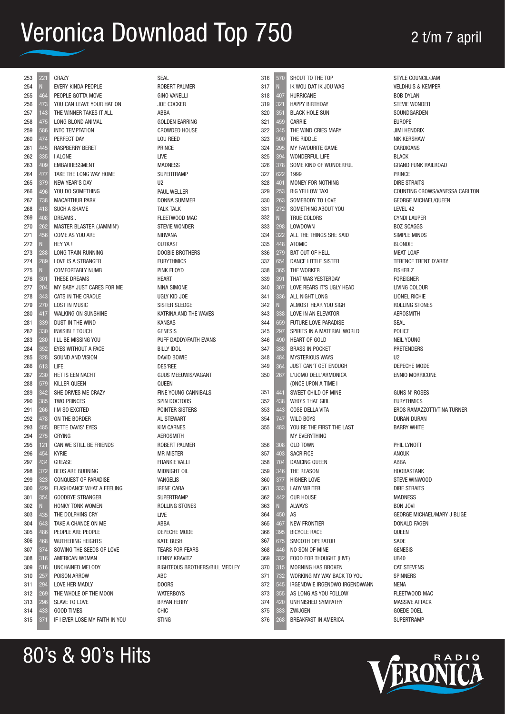| 253        | 221        | CRAZY                                          | SEAL                                | 316        | 570        | SHOUT TO THE TOP                           | STYLE COUNCIL/JAM                           |
|------------|------------|------------------------------------------------|-------------------------------------|------------|------------|--------------------------------------------|---------------------------------------------|
| 254        | N.         | EVERY KINDA PEOPLE                             | ROBERT PALMER                       | 317        | N          | IK WOU DAT IK JOU WAS                      | <b>VELDHUIS &amp; KEMPER</b>                |
| 255        | 464        | PEOPLE GOTTA MOVE                              | <b>GINO VANELLI</b>                 | 318        | 407        | HURRICANE                                  | <b>BOB DYLAN</b>                            |
| 256        | 473        | YOU CAN LEAVE YOUR HAT ON                      | <b>JOE COCKER</b>                   | 319        | 321        | <b>HAPPY BIRTHDAY</b>                      | <b>STEVIE WONDER</b>                        |
| 257        | 143        | THE WINNER TAKES IT ALL                        | ABBA                                | 320        | 351        | <b>BLACK HOLE SUN</b>                      | SOUNDGARDEN                                 |
| 258        | 475        | LONG BLOND ANIMAL                              | <b>GOLDEN EARRING</b>               | 321        | 459        | <b>CARRIE</b>                              | <b>EUROPE</b>                               |
| 259        | 586        | <b>INTO TEMPTATION</b>                         | <b>CROWDED HOUSE</b>                | 322        | 345        | THE WIND CRIES MARY                        | <b>JIMI HENDRIX</b>                         |
| 260        | 474        | PERFECT DAY                                    | LOU REED                            | 323        | 500        | THE RIDDLE                                 | NIK KERSHAW                                 |
| 261        | 445        | <b>RASPBERRY BERET</b>                         | PRINCE                              | 324        | 295        | MY FAVOURITE GAME<br><b>WONDERFUL LIFE</b> | CARDIGANS<br><b>BLACK</b>                   |
| 262        | 335<br>409 | <b>I ALONE</b>                                 | LIVE                                | 325        | 394        |                                            |                                             |
| 263<br>264 | 477        | <b>EMBARRESSMENT</b><br>TAKE THE LONG WAY HOME | <b>MADNESS</b><br><b>SUPERTRAMP</b> | 326<br>327 | 378<br>622 | SOME KIND OF WONDERFUL<br>1999             | <b>GRAND FUNK RAILROAD</b><br><b>PRINCE</b> |
| 265        | 379        | <b>NEW YEAR'S DAY</b>                          | U <sub>2</sub>                      | 328        | 401        | MONEY FOR NOTHING                          | <b>DIRE STRAITS</b>                         |
| 266        | 496        | YOU DO SOMETHING                               | <b>PAUL WELLER</b>                  | 329        | 253        | <b>BIG YELLOW TAXI</b>                     | COUNTING CROWS/VANESSA CARLTON              |
| 267        | 738        | <b>MACARTHUR PARK</b>                          | <b>DONNA SUMMER</b>                 | 330        | 263        | SOMEBODY TO LOVE                           | <b>GEORGE MICHAEL/QUEEN</b>                 |
| 268        | 418        | <b>SUCH A SHAME</b>                            | <b>TALK TALK</b>                    | 331        | 272        | SOMETHING ABOUT YOU                        | LEVEL 42                                    |
| 269        | 408        | DREAMS                                         | FLEETWOOD MAC                       | 332        | N          | TRUE COLORS                                | <b>CYNDI LAUPER</b>                         |
| 270        | 262        | <b>MASTER BLASTER (JAMMIN')</b>                | STEVIE WONDER                       | 333        | 298        | LOWDOWN                                    | <b>BOZ SCAGGS</b>                           |
| 271        | 456        | COME AS YOU ARE                                | <b>NIRVANA</b>                      | 334        | 322        | ALL THE THINGS SHE SAID                    | SIMPLE MINDS                                |
| 272        |            | HEY YA !                                       | <b>OUTKAST</b>                      | 335        | 448        | <b>ATOMIC</b>                              | <b>BLONDIE</b>                              |
| 273        | 288        | LONG TRAIN RUNNING                             | DOOBIE BROTHERS                     | 336        | 279        | BAT OUT OF HELL                            | <b>MEAT LOAF</b>                            |
| 274        | 289        | LOVE IS A STRANGER                             | <b>EURYTHMICS</b>                   | 337        | 654        | DANCE LITTLE SISTER                        | TERENCE TRENT D'ARBY                        |
| 275        | N          | <b>COMFORTABLY NUMB</b>                        | PINK FLOYD                          | 338        | 365        | THE WORKER                                 | <b>FISHER Z</b>                             |
| 276        | 301        | THESE DREAMS                                   | <b>HEART</b>                        | 339        | 391        | THAT WAS YESTERDAY                         | <b>FOREIGNER</b>                            |
| 277        | 204        | MY BABY JUST CARES FOR ME                      | NINA SIMONE                         | 340        | 307        | LOVE REARS IT'S UGLY HEAD                  | LIVING COLOUR                               |
| 278        | 343        | CATS IN THE CRADLE                             | UGLY KID JOE                        | 341        | 336        | ALL NIGHT LONG                             | LIONEL RICHIE                               |
| 279        | 270        | <b>LOST IN MUSIC</b>                           | <b>SISTER SLEDGE</b>                | 342        | N.         | ALMOST HEAR YOU SIGH                       | ROLLING STONES                              |
| 280        | 417        | <b>WALKING ON SUNSHINE</b>                     | KATRINA AND THE WAVES               | 343        | 338        | LOVE IN AN ELEVATOR                        | <b>AEROSMITH</b>                            |
| 281        | 339        | DUST IN THE WIND                               | <b>KANSAS</b>                       | 344        | 659        | FUTURE LOVE PARADISE                       | SEAL                                        |
| 282        | 330        | <b>INVISIBLE TOUCH</b>                         | <b>GENESIS</b>                      | 345        | 297        | SPIRITS IN A MATERIAL WORLD                | POLICE                                      |
| 283        | 280        | I'LL BE MISSING YOU                            | PUFF DADDY/FAITH EVANS              | 346        | 490        | HEART OF GOLD                              | <b>NEIL YOUNG</b>                           |
| 284        | 352        | EYES WITHOUT A FACE                            | <b>BILLY IDOL</b>                   | 347        | 388        | <b>BRASS IN POCKET</b>                     | <b>PRETENDERS</b>                           |
| 285        | 328        | SOUND AND VISION                               | DAVID BOWIE                         | 348        | 484        | <b>MYSTERIOUS WAYS</b>                     | U <sub>2</sub>                              |
| 286        | 613        | LIFE.                                          | <b>DES'REE</b>                      | 349        | 364        | JUST CAN'T GET ENOUGH                      | DEPECHE MODE                                |
| 287        | 230        | HET IS EEN NACHT                               | GUUS MEEUWIS/VAGANT                 | 350        | 267        | L'UOMO DELL'ARMONICA                       | <b>ENNIO MORRICONE</b>                      |
| 288        | 579        | KILLER QUEEN                                   | QUEEN                               |            |            | (ONCE UPON A TIME I                        |                                             |
| 289        | 342        | SHE DRIVES ME CRAZY                            | FINE YOUNG CANNIBALS                | 351        | 441        | SWEET CHILD OF MINE                        | <b>GUNS N' ROSES</b>                        |
| 290        | 385        | <b>TWO PRINCES</b>                             | SPIN DOCTORS                        | 352        | 438        | <b>WHO'S THAT GIRL</b>                     | <b>EURYTHMICS</b>                           |
| 291        | 266        | I'M SO EXCITED                                 | POINTER SISTERS                     | 353        | 443        | COSE DELLA VITA                            | EROS RAMAZZOTTI/TINA TURNER                 |
| 292        | 478        | ON THE BORDER                                  | AL STEWART                          | 354        | 747        | <b>WILD BOYS</b>                           | DURAN DURAN                                 |
| 293        | 485        | <b>BETTE DAVIS' EYES</b>                       | <b>KIM CARNES</b>                   | 355        | 483        | YOU'RE THE FIRST THE LAST                  | <b>BARRY WHITE</b>                          |
| 294        | 275        | <b>CRYING</b>                                  | <b>AEROSMITH</b>                    |            |            | MY EVERYTHING                              |                                             |
| 295        | 121        | CAN WE STILL BE FRIENDS                        | ROBERT PALMER                       | 356        | 308        | <b>OLD TOWN</b>                            | PHIL LYNOTT                                 |
| 296        | 454        | <b>KYRIE</b>                                   | <b>MR MISTER</b>                    | 357        | 403        | <b>SACRIFICE</b>                           | ANOUK                                       |
| 297        | 434        | GREASE                                         | <b>FRANKIE VALLI</b>                | 358        | 704        | DANCING QUEEN                              | ABBA                                        |
| 298        | 372        | <b>BEDS ARE BURNING</b>                        | MIDNIGHT OIL                        | 359        | 346        | THE REASON                                 | <b>HOOBASTANK</b>                           |
| 299        | 323        | CONQUEST OF PARADISE                           | VANGELIS                            | 360        | 377        | <b>HIGHER LOVE</b>                         | STEVE WINWOOD                               |
| 300        | 429        | FLASHDANCE WHAT A FEELING                      | <b>IRENE CARA</b>                   | 361        | 333        | <b>LADY WRITER</b>                         | DIRE STRAITS                                |
| 301        | 354        | <b>GOODBYE STRANGER</b>                        | <b>SUPERTRAMP</b>                   | 362        | 442        | OUR HOUSE                                  | <b>MADNESS</b>                              |
| 302        |            | HONKY TONK WOMEN                               | ROLLING STONES                      | 363        |            | <b>ALWAYS</b>                              | <b>BON JOVI</b>                             |
| 303        | 435        | THE DOLPHINS CRY                               | LIVE                                | 364        | 450        | AS                                         | GEORGE MICHAEL/MARY J BLIGE                 |
| 304        | 643        | TAKE A CHANCE ON ME                            | ABBA                                | 365        | 467        | <b>NEW FRONTIER</b>                        | DONALD FAGEN                                |
| 305        | 486        | PEOPLE ARE PEOPLE                              | DEPECHE MODE                        | 366        | 395        | <b>BICYCLE RACE</b>                        | QUEEN                                       |
| 306        | 468        | <b>WUTHERING HEIGHTS</b>                       | <b>KATE BUSH</b>                    | 367        | 675        | SMOOTH OPERATOR                            | SADE                                        |
| 307        | 374        | SOWING THE SEEDS OF LOVE                       | TEARS FOR FEARS                     | 368        | 446        | NO SON OF MINE                             | <b>GENESIS</b>                              |
| 308        | 316        | AMERICAN WOMAN                                 | LENNY KRAVITZ                       | 369        | 332        | FOOD FOR THOUGHT (LIVE)                    | <b>UB40</b>                                 |
| 309        | 516        | UNCHAINED MELODY                               | RIGHTEOUS BROTHERS/BILL MEDLEY      | 370        | 315        | MORNING HAS BROKEN                         | <b>CAT STEVENS</b>                          |
| 310        | 257        | POISON ARROW                                   | ABC                                 | 371        | 732        | WORKING MY WAY BACK TO YOU                 | <b>SPINNERS</b>                             |
| 311        | 294        | LOVE HER MADLY                                 | DOORS                               | 372        | 545        | IRGENDWIE IRGENDWO IRGENDWANN              | NENA                                        |
| 312        | 269        | THE WHOLE OF THE MOON                          | <b>WATERBOYS</b>                    | 373        | 355        | AS LONG AS YOU FOLLOW                      | FLEETWOOD MAC                               |
| 313        | 296        | SLAVE TO LOVE                                  | <b>BRYAN FERRY</b>                  | 374        | 420        | UNFINISHED SYMPATHY                        | <b>MASSIVE ATTACK</b>                       |
| 314        | 433        | <b>GOOD TIMES</b>                              | <b>CHIC</b>                         | 375        | 383        | ZWIJGEN                                    | GOEDE DOEL                                  |
| 315        | 371        | IF I EVER LOSE MY FAITH IN YOU                 | <b>STING</b>                        | 376        | 268        | BREAKFAST IN AMERICA                       | <b>SUPERTRAMP</b>                           |

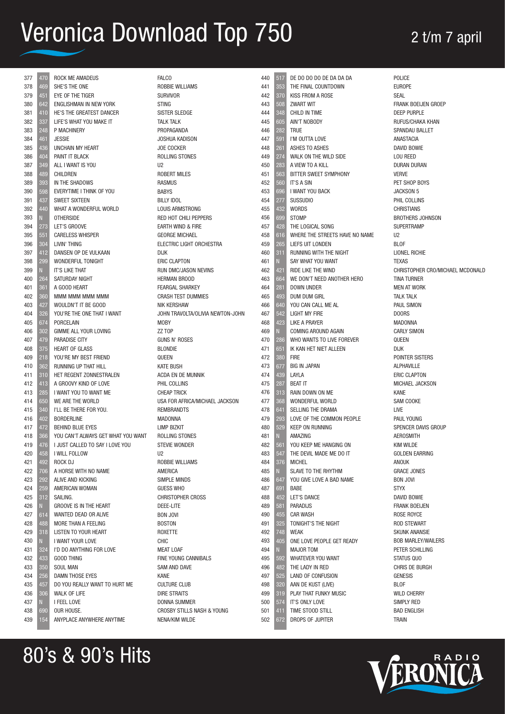| 377        | 470 | ROCK ME AMADEUS                    | <b>FALCO</b>                               | 440        | 517         | DE DO DO DO DE DA DA DA            | POLICE                           |
|------------|-----|------------------------------------|--------------------------------------------|------------|-------------|------------------------------------|----------------------------------|
| 378        | 469 | SHE'S THE ONE                      | <b>ROBBIE WILLIAMS</b>                     | 441        | 353         | THE FINAL COUNTDOWN                | <b>EUROPE</b>                    |
| 379        | 451 | EYE OF THE TIGER                   | <b>SURVIVOR</b>                            | 442        | 370         | KISS FROM A ROSE                   | <b>SEAL</b>                      |
| 380        | 642 | ENGLISHMAN IN NEW YORK             | <b>STING</b>                               | 443        | 508         | <b>ZWART WIT</b>                   | FRANK BOEIJEN GROEP              |
| 381        | 410 | HE'S THE GREATEST DANCER           | SISTER SLEDGE                              | 444        | 348         | CHILD IN TIME                      | <b>DEEP PURPLE</b>               |
| 382        | 337 | LIFE'S WHAT YOU MAKE IT            | <b>TALK TALK</b>                           | 445        | 605         | AIN'T NOBODY                       | RUFUS/CHAKA KHAN                 |
| 383        | 248 | P MACHINERY                        | PROPAGANDA                                 | 446        | 282         | TRUE                               | SPANDAU BALLET                   |
| 384        | 461 | <b>JESSIE</b>                      | JOSHUA KADISON                             | 447        | 591         | I'M OUTTA LOVE                     | ANASTACIA                        |
| 385        | 436 | <b>UNCHAIN MY HEART</b>            | <b>JOE COCKER</b>                          | 448        | <b>261</b>  | ASHES TO ASHES                     | DAVID BOWIE                      |
| 386        | 404 | PAINT IT BLACK                     | ROLLING STONES                             | 449        | 274         | WALK ON THE WILD SIDE              | <b>LOU REED</b>                  |
| 387        | 349 | ALL I WANT IS YOU                  | U <sub>2</sub>                             | 450        | 283         | A VIEW TO A KILL                   | DURAN DURAN                      |
| 388        | 489 | CHILDREN                           | <b>ROBERT MILES</b>                        | 451        | 563         | BITTER SWEET SYMPHONY              | <b>VERVE</b>                     |
| 389        | 393 | IN THE SHADOWS                     | <b>RASMUS</b>                              | 452        | 560         | <b>IT'S A SIN</b>                  | PET SHOP BOYS                    |
| 390        | 598 | EVERYTIME I THINK OF YOU           | <b>BABYS</b>                               | 453        | 696         | I WANT YOU BACK                    | JACKSON 5                        |
| 391        | 437 | SWEET SIXTEEN                      | <b>BILLY IDOL</b>                          | 454        | 277         | <b>SUSSUDIO</b>                    | PHIL COLLINS                     |
| 392        | 440 | WHAT A WONDERFUL WORLD             | LOUIS ARMSTRONG                            | 455        | 432         | <b>WORDS</b>                       | <b>CHRISTIANS</b>                |
| 393        |     | <b>OTHERSIDE</b>                   | RED HOT CHILI PEPPERS                      | 456        | 699         | <b>STOMP</b>                       | <b>BROTHERS JOHNSON</b>          |
| 394        | 273 | LET'S GROOVE                       | EARTH WIND & FIRE                          | 457        | 428         | THE LOGICAL SONG                   | <b>SUPERTRAMP</b>                |
| 395        | 551 | <b>CARELESS WHISPER</b>            | <b>GEORGE MICHAEL</b>                      | 458        | 616         | WHERE THE STREETS HAVE NO NAME     | U <sub>2</sub>                   |
| 396        | 304 | LIVIN' THING                       | ELECTRIC LIGHT ORCHESTRA                   | 459        | 265         | LIEFS UIT LONDEN                   | <b>BLOF</b>                      |
| 397        | 412 | DANSEN OP DE VULKAAN               | <b>DIJK</b>                                | 460        | 311         | RUNNING WITH THE NIGHT             | LIONEL RICHIE                    |
| 398        | 299 | WONDERFUL TONIGHT                  | <b>ERIC CLAPTON</b>                        | 461        | N.          | SAY WHAT YOU WANT                  | <b>TEXAS</b>                     |
| 399        |     | IT'S LIKE THAT                     | RUN DMC/JASON NEVINS                       | 462        | 421         | RIDE LIKE THE WIND                 | CHRISTOPHER CRO/MICHAEL MCDONALD |
| 400        | 264 | SATURDAY NIGHT                     | HERMAN BROOD                               | 463        | 664         | WE DON'T NEED ANOTHER HERO         | <b>TINA TURNER</b>               |
| 401        | 361 | A GOOD HEART                       | <b>FEARGAL SHARKEY</b>                     | 464        | 281         | DOWN UNDER                         | <b>MEN AT WORK</b>               |
| 402        | 360 | MMM MMM MMM MMM                    | <b>CRASH TEST DUMMIES</b>                  | 465        | 493         | DUM DUM GIRL                       | <b>TALK TALK</b>                 |
| 403        | 427 | WOULDN'T IT BE GOOD                | <b>NIK KERSHAW</b>                         | 466        | 640         | YOU CAN CALL ME AL                 | <b>PAUL SIMON</b>                |
| 404        | 326 | YOU'RE THE ONE THAT I WANT         | JOHN TRAVOLTA/OLIVIA NEWTON-JOHN           | 467        | 542         | <b>LIGHT MY FIRE</b>               | <b>DOORS</b>                     |
| 405        | 674 | PORCELAIN                          | <b>MOBY</b>                                | 468        | 423         | <b>LIKE A PRAYER</b>               | <b>MADONNA</b>                   |
| 406        | 302 | GIMME ALL YOUR LOVING              | ZZ TOP                                     | 469        | N           | COMING AROUND AGAIN                | <b>CARLY SIMON</b>               |
| 407        | 479 | PARADISE CITY                      | <b>GUNS N' ROSES</b>                       | 470        | 286         | WHO WANTS TO LIVE FOREVER          | QUEEN                            |
| 408        | 375 | <b>HEART OF GLASS</b>              | <b>BLONDIE</b>                             | 471        | 651         | IK KAN HET NIET ALLEEN             | <b>DIJK</b>                      |
| 409        | 218 | YOU'RE MY BEST FRIEND              | QUEEN                                      | 472        | 380         | <b>FIRE</b>                        | POINTER SISTERS                  |
| 410        | 362 | <b>RUNNING UP THAT HILL</b>        | <b>KATE BUSH</b>                           | 473        | 677         | <b>BIG IN JAPAN</b>                | <b>ALPHAVILLE</b>                |
| 411        | 310 | HET REGENT ZONNESTRALEN            | ACDA EN DE MUNNIK                          | 474        | 439         | LAYLA                              | ERIC CLAPTON                     |
| 412        | 413 | A GROOVY KIND OF LOVE              | PHIL COLLINS                               | 475        | 287         | <b>BEAT IT</b>                     | MICHAEL JACKSON                  |
| 413        | 285 | I WANT YOU TO WANT ME              | <b>CHEAP TRICK</b>                         | 476        | 313         | RAIN DOWN ON ME                    | KANE                             |
| 414        | 650 | WE ARE THE WORLD                   | USA FOR AFRICA/MICHAEL JACKSON             | 477        | 368         | WONDERFUL WORLD                    | SAM COOKE                        |
| 415        | 340 | I'LL BE THERE FOR YOU.             | <b>REMBRANDTS</b>                          | 478        | 641         | SELLING THE DRAMA                  | LIVE                             |
| 416        | 402 | <b>BORDERLINE</b>                  | MADONNA                                    | 479        | 293         | LOVE OF THE COMMON PEOPLE          | PAUL YOUNG                       |
| 417        | 472 | <b>BEHIND BLUE EYES</b>            | <b>LIMP BIZKIT</b>                         | 480        | 529         | <b>KEEP ON RUNNING</b>             | SPENCER DAVIS GROUP              |
| 418        | 366 | YOU CAN'T ALWAYS GET WHAT YOU WANT | ROLLING STONES                             | 481        |             | AMAZING                            | <b>AEROSMITH</b>                 |
| 419        | 476 | I JUST CALLED TO SAY I LOVE YOU    | <b>STEVIE WONDER</b>                       | 482        | 561         | YOU KEEP ME HANGING ON             | <b>KIM WILDE</b>                 |
| 420        | 458 | I WILL FOLLOW                      | U <sub>2</sub>                             | 483        | 547         | THE DEVIL MADE ME DO IT            | <b>GOLDEN EARRING</b>            |
| 421        | 492 | ROCK DJ                            | ROBBIE WILLIAMS                            | 484        | 376         | <b>MICHEL</b>                      | ANOUK                            |
| 422        | 706 | A HORSE WITH NO NAME               | AMERICA                                    | 485        | $\mathbb N$ | SLAVE TO THE RHYTHM                | <b>GRACE JONES</b>               |
| 423        | 292 | ALIVE AND KICKING                  | SIMPLE MINDS                               | 486        | 647         | YOU GIVE LOVE A BAD NAME           | <b>BON JOVI</b>                  |
| 424        | 259 | AMERICAN WOMAN                     | <b>GUESS WHO</b>                           | 487        | 691         | <b>BABE</b>                        | <b>STYX</b>                      |
| 425        | 312 | SAILING.                           | <b>CHRISTOPHER CROSS</b>                   | 488        | 452         | LET'S DANCE                        | DAVID BOWIE                      |
| 426        |     | <b>GROOVE IS IN THE HEART</b>      | DEEE-LITE                                  | 489        | 581         | <b>PARADIJS</b>                    | <b>FRANK BOEIJEN</b>             |
| 427        | 614 | WANTED DEAD OR ALIVE               | <b>BON JOVI</b>                            | 490        | 455         | <b>CAR WASH</b>                    | ROSE ROYCE                       |
| 428        | 488 | MORE THAN A FEELING                | <b>BOSTON</b>                              | 491        | 325         | TONIGHT'S THE NIGHT                | ROD STEWART                      |
| 429        | 318 | LISTEN TO YOUR HEART               | ROXETTE                                    | 492        | 748         | WEAK                               | <b>SKUNK ANANSIE</b>             |
| 430        |     | I WANT YOUR LOVE                   | CHIC                                       | 493        | 405         | ONE LOVE PEOPLE GET READY          | <b>BOB MARLEY/WAILERS</b>        |
| 431        | 324 | I'D DO ANYTHING FOR LOVE           | MEAT LOAF                                  | 494        | N           | <b>MAJOR TOM</b>                   | PETER SCHILLING                  |
| 432        | 433 | <b>GOOD THING</b>                  | FINE YOUNG CANNIBALS                       | 495        | 592         | WHATEVER YOU WANT                  | STATUS QUO                       |
| 433        | 350 | <b>SOUL MAN</b>                    | SAM AND DAVE                               | 496        | 482         | THE LADY IN RED                    | CHRIS DE BURGH                   |
| 434        | 256 | DAMN THOSE EYES                    | <b>KANE</b>                                | 497        | 525         | LAND OF CONFUSION                  | <b>GENESIS</b>                   |
| 435        | 457 | DO YOU REALLY WANT TO HURT ME      | <b>CULTURE CLUB</b>                        | 498        | 320         | AAN DE KUST (LIVE)                 | <b>BLOF</b>                      |
| 436        | 306 | WALK OF LIFE                       | DIRE STRAITS                               | 499        | 319         | PLAY THAT FUNKY MUSIC              | WILD CHERRY                      |
| 437<br>438 | 690 | I FEEL LOVE<br>OUR HOUSE.          | DONNA SUMMER<br>CROSBY STILLS NASH & YOUNG | 500<br>501 | 574<br>411  | IT'S ONLY LOVE<br>TIME STOOD STILL | SIMPLY RED<br><b>BAD ENGLISH</b> |
| 439        | 154 | ANYPLACE ANYWHERE ANYTIME          | NENA/KIM WILDE                             | 502        | 672         | DROPS OF JUPITER                   | Train                            |
|            |     |                                    |                                            |            |             |                                    |                                  |
|            |     |                                    |                                            |            |             |                                    |                                  |

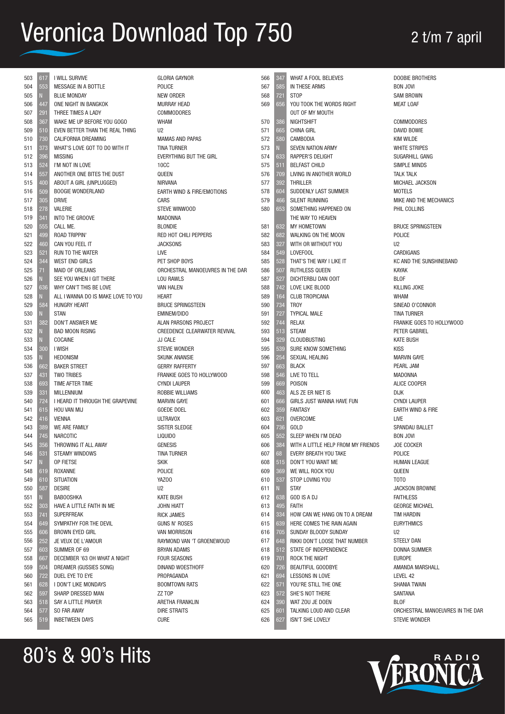| 503        | 617        | I WILL SURVIVE                             | <b>GLORIA GAYNOR</b>                          | 566        | 347        | WHAT A FOOL BELIEVES                           | <b>DOOBIE BROTHERS</b>               |
|------------|------------|--------------------------------------------|-----------------------------------------------|------------|------------|------------------------------------------------|--------------------------------------|
| 504        | 553        | MESSAGE IN A BOTTLE                        | POLICE                                        | 567        | 585        | IN THESE ARMS                                  | <b>BON JOVI</b>                      |
| 505        | 447        | <b>BLUE MONDAY</b>                         | <b>NEW ORDER</b><br><b>MURRAY HEAD</b>        | 568<br>569 | 721<br>656 | <b>STOP</b><br>YOU TOOK THE WORDS RIGHT        | <b>SAM BROWN</b><br><b>MEAT LOAF</b> |
| 506<br>507 | 291        | ONE NIGHT IN BANGKOK<br>THREE TIMES A LADY | COMMODORES                                    |            |            | <b>OUT OF MY MOUTH</b>                         |                                      |
| 508        | 367        | WAKE ME UP BEFORE YOU GOGO                 | WHAM                                          | 570        | 386        | <b>NIGHTSHIFT</b>                              | <b>COMMODORES</b>                    |
| 509        | 510        | EVEN BETTER THAN THE REAL THING            | U <sub>2</sub>                                | 571        | 665        | <b>CHINA GIRL</b>                              | <b>DAVID BOWIE</b>                   |
| 510        | 730        | CALIFORNIA DREAMING                        | <b>MAMAS AND PAPAS</b>                        | 572        | 580        | CAMBODIA                                       | <b>KIM WILDE</b>                     |
| 511        | 373        | WHAT'S LOVE GOT TO DO WITH IT              | <b>TINA TURNER</b>                            | 573        |            | <b>SEVEN NATION ARMY</b>                       | <b>WHITE STRIPES</b>                 |
| 512        | 396        | <b>MISSING</b>                             | <b>EVERYTHING BUT THE GIRL</b>                | 574        | 633        | <b>RAPPER'S DELIGHT</b>                        | SUGARHILL GANG                       |
| 513        | 524        | I'M NOT IN LOVE                            | <b>10CC</b>                                   | 575        | 511        | <b>BELFAST CHILD</b>                           | SIMPLE MINDS                         |
| 514        | 557        | ANOTHER ONE BITES THE DUST                 | QUEEN                                         | 576        | 709        | LIVING IN ANOTHER WORLD                        | <b>TALK TALK</b>                     |
| 515        | 400        | ABOUT A GIRL (UNPLUGGED)                   | <b>NIRVANA</b>                                | 577        | 392        | <b>THRILLER</b>                                | MICHAEL JACKSON                      |
| 516        | 509        | <b>BOOGIE WONDERLAND</b>                   | EARTH WIND & FIRE/EMOTIONS                    | 578        | 604        | SUDDENLY LAST SUMMER                           | <b>MOTELS</b>                        |
| 517        | 305        | <b>DRIVE</b>                               | CARS                                          | 579        | 466        | <b>SILENT RUNNING</b>                          | MIKE AND THE MECHANICS               |
| 518        | 278        | <b>VALERIE</b>                             | STEVE WINWOOD                                 | 580        | 653        | SOMETHING HAPPENED ON                          | PHIL COLLINS                         |
| 519        | 341        | INTO THE GROOVE                            | <b>MADONNA</b>                                |            |            | THE WAY TO HEAVEN                              |                                      |
| 520        | 555        | CALL ME.                                   | <b>BLONDIE</b>                                | 581        | 632        | MY HOMETOWN                                    | <b>BRUCE SPRINGSTEEN</b>             |
| 521        | 499        | <b>ROAD TRIPPIN'</b>                       | RED HOT CHILI PEPPERS                         | 582        | 682        | WALKING ON THE MOON                            | POLICE                               |
| 522        | 460        | CAN YOU FEEL IT                            | <b>JACKSONS</b>                               | 583        | 327        | WITH OR WITHOUT YOU                            | U <sub>2</sub>                       |
| 523        | 521        | RUN TO THE WATER                           | LIVE                                          | 584        | 549        | LOVEFOOL                                       | <b>CARDIGANS</b>                     |
| 524        | 344        | <b>WEST END GIRLS</b>                      | PET SHOP BOYS                                 | 585        | 528        | THAT'S THE WAY I LIKE IT                       | KC AND THE SUNSHINEBAND              |
| 525        | 71         | <b>MAID OF ORLEANS</b>                     | ORCHESTRAL MANOEUVRES IN THE DAR              | 586        | 507        | RUTHLESS QUEEN                                 | <b>KAYAK</b>                         |
| 526        |            | SEE YOU WHEN I GIT THERE                   | <b>LOU RAWLS</b>                              | 587        | 527        | DICHTERBIJ DAN OOIT                            | <b>BLOF</b>                          |
| 527        | 636        | WHY CAN'T THIS BE LOVE                     | <b>VAN HALEN</b>                              | 588        | 742        | LOVE LIKE BLOOD                                | <b>KILLING JOKE</b>                  |
| 528        |            | ALL I WANNA DO IS MAKE LOVE TO YOU         | <b>HEART</b>                                  | 589        | 164        | <b>CLUB TROPICANA</b>                          | <b>WHAM</b>                          |
| 529        | 584        | <b>HUNGRY HEART</b>                        | <b>BRUCE SPRINGSTEEN</b>                      | 590        | 734        | <b>TROY</b>                                    | SINEAD O'CONNOR                      |
| 530        |            | <b>STAN</b>                                | <b>EMINEM/DIDO</b>                            | 591        | 727        | <b>TYPICAL MALE</b>                            | <b>TINA TURNER</b>                   |
| 531        | 382        | DON'T ANSWER ME                            | ALAN PARSONS PROJECT                          | 592        | 744        | <b>RELAX</b>                                   | FRANKIE GOES TO HOLLYWOOD            |
| 532        |            | <b>BAD MOON RISING</b>                     | CREEDENCE CLEARWATER REVIVAL                  | 593        | 513        | <b>STEAM</b>                                   | PETER GABRIEL                        |
| 533        |            | COCAINE                                    | JJ CALE                                       | 594        | 329        | <b>CLOUDBUSTING</b>                            | <b>KATE BUSH</b>                     |
| 534        | 300        | I WISH                                     | <b>STEVIE WONDER</b>                          | 595        | 539        | SURE KNOW SOMETHING                            | <b>KISS</b>                          |
| 535        |            | <b>HEDONISM</b>                            | <b>SKUNK ANANSIE</b>                          | 596        | 254        | SEXUAL HEALING                                 | <b>MARVIN GAYE</b>                   |
| 536        | 662        | <b>BAKER STREET</b>                        | <b>GERRY RAFFERTY</b>                         | 597        | 663        | <b>BLACK</b>                                   | PEARL JAM                            |
| 537        | 431        | <b>TWO TRIBES</b>                          | FRANKIE GOES TO HOLLYWOOD                     | 598        | 546        | LIVE TO TELL                                   | <b>MADONNA</b>                       |
| 538        | 693        | TIME AFTER TIME<br><b>MILLENNIUM</b>       | <b>CYNDI LAUPER</b><br><b>ROBBIE WILLIAMS</b> | 599        | 669<br>463 | <b>POISON</b>                                  | ALICE COOPER                         |
| 539<br>540 | 331<br>724 | I HEARD IT THROUGH THE GRAPEVINE           | <b>MARVIN GAYE</b>                            | 600<br>601 | 666        | ALS ZE ER NIET IS<br>GIRLS JUST WANNA HAVE FUN | <b>DIJK</b><br><b>CYNDI LAUPER</b>   |
| 541        | 615        | HOU VAN MIJ                                | <b>GOEDE DOEL</b>                             | 602        | 359        | <b>FANTASY</b>                                 | EARTH WIND & FIRE                    |
| 542        | 416        | <b>VIENNA</b>                              | <b>ULTRAVOX</b>                               | 603        | 621        | OVERCOME                                       | LIVE                                 |
| 543        | 389        | WE ARE FAMILY                              | SISTER SLEDGE                                 | 604        | 736        | GOLD                                           | SPANDAU BALLET                       |
| 544        | 745        | <b>NARCOTIC</b>                            | <b>LIQUIDO</b>                                | 605        | 552        | SLEEP WHEN I'M DEAD                            | <b>BON JOVI</b>                      |
| 545        | 356        | THROWING IT ALL AWAY                       | <b>GENESIS</b>                                | 606        | 384        | WITH A LITTLE HELP FROM MY FRIENDS             | JOE COCKER                           |
| 546        | 531        | STEAMY WINDOWS                             | <b>TINA TURNER</b>                            | 607        | 68         | EVERY BREATH YOU TAKE                          | POLICE                               |
| 547        |            | OP FIETSE                                  | <b>SKIK</b>                                   | 608        | 515        | DON'T YOU WANT ME                              | HUMAN LEAGUE                         |
| 548        | 619        | ROXANNE                                    | POLICE                                        | 609        | 369        | WE WILL ROCK YOU                               | QUEEN                                |
| 549        | 610        | <b>SITUATION</b>                           | YAZ00                                         | 610        | 537        | STOP LOVING YOU                                | TOTO                                 |
| 550        | 587        | <b>DESIRE</b>                              | U2                                            | 611        |            | <b>STAY</b>                                    | <b>JACKSON BROWNE</b>                |
| 551        | N          | <b>BABOOSHKA</b>                           | <b>KATE BUSH</b>                              | 612        | 638        | GOD IS A DJ                                    | <b>FAITHLESS</b>                     |
| 552        | 303        | HAVE A LITTLE FAITH IN ME                  | <b>JOHN HIATT</b>                             | 613        | 495        | <b>FAITH</b>                                   | <b>GEORGE MICHAEL</b>                |
| 553        | 741        | <b>SUPERFREAK</b>                          | <b>RICK JAMES</b>                             | 614        | 334        | HOW CAN WE HANG ON TO A DREAM                  | TIM HARDIN                           |
| 554        | 649        | SYMPATHY FOR THE DEVIL                     | GUNS N' ROSES                                 | 615        | 639        | HERE COMES THE RAIN AGAIN                      | <b>EURYTHMICS</b>                    |
| 555        | 606        | <b>BROWN EYED GIRL</b>                     | <b>VAN MORRISON</b>                           | 616        | 705        | SUNDAY BLOODY SUNDAY                           | U <sub>2</sub>                       |
| 556        | 252        | JE VEUX DE L'AMOUR                         | RAYMOND VAN 'T GROENEWOUD                     | 617        | 648        | RIKKI DON'T LOOSE THAT NUMBER                  | STEELY DAN                           |
| 557        | 603        | SUMMER OF 69                               | <b>BRYAN ADAMS</b>                            | 618        | 512        | STATE OF INDEPENDENCE                          | <b>DONNA SUMMER</b>                  |
| 558        | 667        | DECEMBER '63 OH WHAT A NIGHT               | <b>FOUR SEASONS</b>                           | 619        | 701        | ROCK THE NIGHT                                 | <b>EUROPE</b>                        |
| 559        | 504        | DREAMER (GUSSIES SONG)                     | DINAND WOESTHOFF                              | 620        | 726        | BEAUTIFUL GOODBYE                              | AMANDA MARSHALL                      |
| 560        | 722        | DUEL EYE TO EYE                            | PROPAGANDA                                    | 621        | 694        | LESSONS IN LOVE                                | LEVEL 42                             |
| 561        | 628        | I DON'T LIKE MONDAYS                       | <b>BOOMTOWN RATS</b>                          | 622        | 571        | YOU'RE STILL THE ONE                           | SHANIA TWAIN                         |
| 562        | 597        | SHARP DRESSED MAN                          | ZZ TOP                                        | 623        | 572        | SHE'S NOT THERE                                | SANTANA                              |
| 563        | 518        | SAY A LITTLE PRAYER                        | ARETHA FRANKLIN                               | 624        | 390        | WAT ZOU JE DOEN                                | <b>BLOF</b>                          |
| 564        | 577        | SO FAR AWAY                                | <b>DIRE STRAITS</b>                           | 625        | 601        | TALKING LOUD AND CLEAR                         | ORCHESTRAL MANOEUVRES IN THE DAR     |
| 565        | 519        | <b>INBETWEEN DAYS</b>                      | <b>CURE</b>                                   | 626        | 627        | ISN'T SHE LOVELY                               | <b>STEVIE WONDER</b>                 |
|            |            |                                            |                                               |            |            |                                                |                                      |